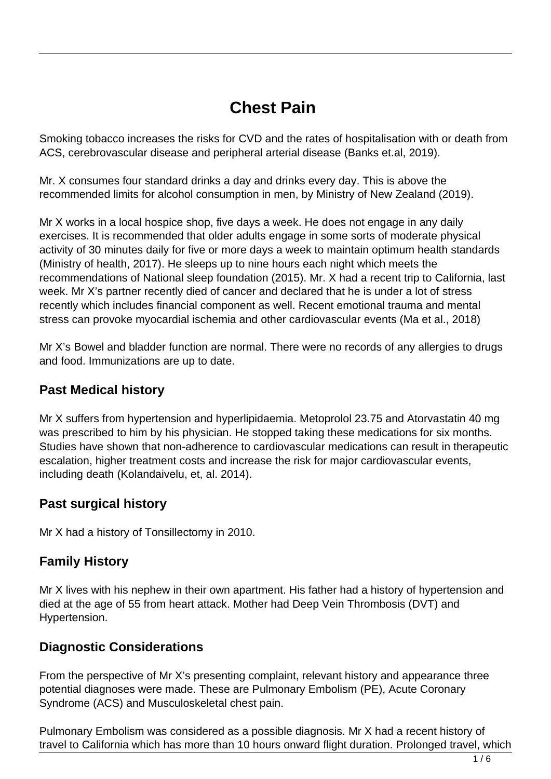# **Chest Pain**

Smoking tobacco increases the risks for CVD and the rates of hospitalisation with or death from ACS, cerebrovascular disease and peripheral arterial disease (Banks et.al, 2019).

Mr. X consumes four standard drinks a day and drinks every day. This is above the recommended limits for alcohol consumption in men, by Ministry of New Zealand (2019).

Mr X works in a local hospice shop, five days a week. He does not engage in any daily exercises. It is recommended that older adults engage in some sorts of moderate physical activity of 30 minutes daily for five or more days a week to maintain optimum health standards (Ministry of health, 2017). He sleeps up to nine hours each night which meets the recommendations of National sleep foundation (2015). Mr. X had a recent trip to California, last week. Mr X's partner recently died of cancer and declared that he is under a lot of stress recently which includes financial component as well. Recent emotional trauma and mental stress can provoke myocardial ischemia and other cardiovascular events (Ma et al., 2018)

Mr X's Bowel and bladder function are normal. There were no records of any allergies to drugs and food. Immunizations are up to date.

#### **Past Medical history**

Mr X suffers from hypertension and hyperlipidaemia. Metoprolol 23.75 and Atorvastatin 40 mg was prescribed to him by his physician. He stopped taking these medications for six months. Studies have shown that non-adherence to cardiovascular medications can result in therapeutic escalation, higher treatment costs and increase the risk for major cardiovascular events, including death (Kolandaivelu, et, al. 2014).

#### **Past surgical history**

Mr X had a history of Tonsillectomy in 2010.

### **Family History**

Mr X lives with his nephew in their own apartment. His father had a history of hypertension and died at the age of 55 from heart attack. Mother had Deep Vein Thrombosis (DVT) and Hypertension.

#### **Diagnostic Considerations**

From the perspective of Mr X's presenting complaint, relevant history and appearance three potential diagnoses were made. These are Pulmonary Embolism (PE), Acute Coronary Syndrome (ACS) and Musculoskeletal chest pain.

Pulmonary Embolism was considered as a possible diagnosis. Mr X had a recent history of travel to California which has more than 10 hours onward flight duration. Prolonged travel, which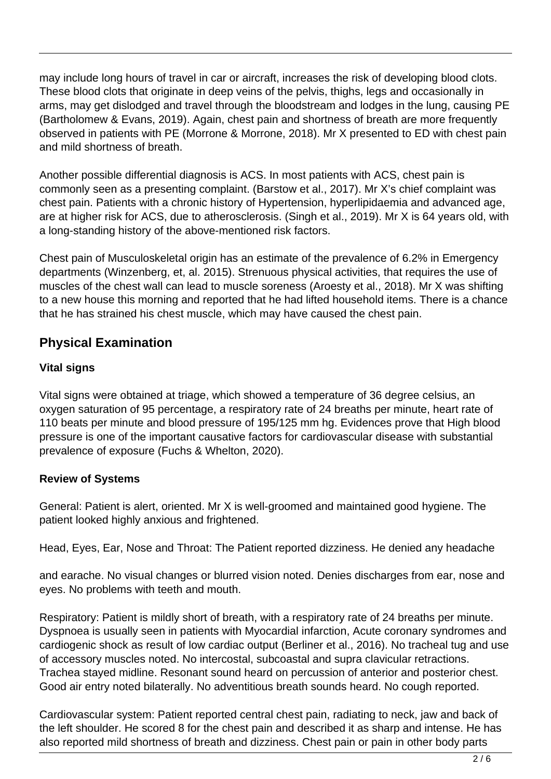may include long hours of travel in car or aircraft, increases the risk of developing blood clots. These blood clots that originate in deep veins of the pelvis, thighs, legs and occasionally in arms, may get dislodged and travel through the bloodstream and lodges in the lung, causing PE (Bartholomew & Evans, 2019). Again, chest pain and shortness of breath are more frequently observed in patients with PE (Morrone & Morrone, 2018). Mr X presented to ED with chest pain and mild shortness of breath.

Another possible differential diagnosis is ACS. In most patients with ACS, chest pain is commonly seen as a presenting complaint. (Barstow et al., 2017). Mr X's chief complaint was chest pain. Patients with a chronic history of Hypertension, hyperlipidaemia and advanced age, are at higher risk for ACS, due to atherosclerosis. (Singh et al., 2019). Mr X is 64 years old, with a long-standing history of the above-mentioned risk factors.

Chest pain of Musculoskeletal origin has an estimate of the prevalence of 6.2% in Emergency departments (Winzenberg, et, al. 2015). Strenuous physical activities, that requires the use of muscles of the chest wall can lead to muscle soreness (Aroesty et al., 2018). Mr X was shifting to a new house this morning and reported that he had lifted household items. There is a chance that he has strained his chest muscle, which may have caused the chest pain.

## **Physical Examination**

#### **Vital signs**

Vital signs were obtained at triage, which showed a temperature of 36 degree celsius, an oxygen saturation of 95 percentage, a respiratory rate of 24 breaths per minute, heart rate of 110 beats per minute and blood pressure of 195/125 mm hg. Evidences prove that High blood pressure is one of the important causative factors for cardiovascular disease with substantial prevalence of exposure (Fuchs & Whelton, 2020).

#### **Review of Systems**

General: Patient is alert, oriented. Mr X is well-groomed and maintained good hygiene. The patient looked highly anxious and frightened.

Head, Eyes, Ear, Nose and Throat: The Patient reported dizziness. He denied any headache

and earache. No visual changes or blurred vision noted. Denies discharges from ear, nose and eyes. No problems with teeth and mouth.

Respiratory: Patient is mildly short of breath, with a respiratory rate of 24 breaths per minute. Dyspnoea is usually seen in patients with Myocardial infarction, Acute coronary syndromes and cardiogenic shock as result of low cardiac output (Berliner et al., 2016). No tracheal tug and use of accessory muscles noted. No intercostal, subcoastal and supra clavicular retractions. Trachea stayed midline. Resonant sound heard on percussion of anterior and posterior chest. Good air entry noted bilaterally. No adventitious breath sounds heard. No cough reported.

Cardiovascular system: Patient reported central chest pain, radiating to neck, jaw and back of the left shoulder. He scored 8 for the chest pain and described it as sharp and intense. He has also reported mild shortness of breath and dizziness. Chest pain or pain in other body parts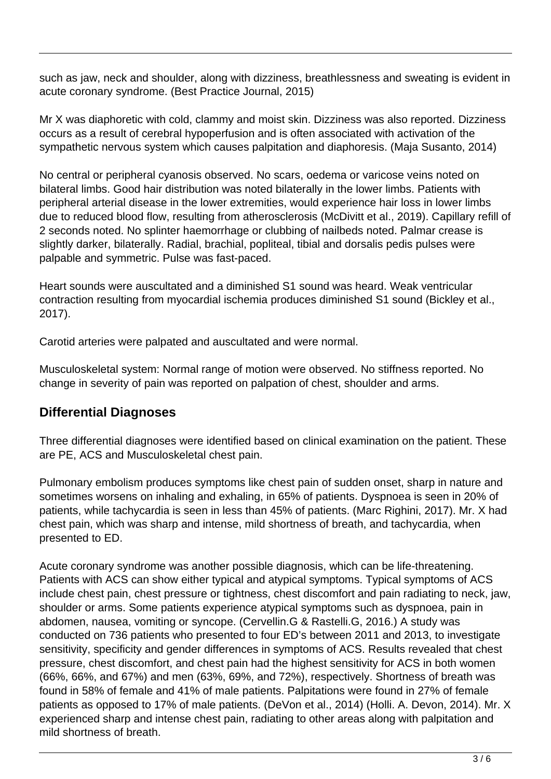such as jaw, neck and shoulder, along with dizziness, breathlessness and sweating is evident in acute coronary syndrome. (Best Practice Journal, 2015)

Mr X was diaphoretic with cold, clammy and moist skin. Dizziness was also reported. Dizziness occurs as a result of cerebral hypoperfusion and is often associated with activation of the sympathetic nervous system which causes palpitation and diaphoresis. (Maja Susanto, 2014)

No central or peripheral cyanosis observed. No scars, oedema or varicose veins noted on bilateral limbs. Good hair distribution was noted bilaterally in the lower limbs. Patients with peripheral arterial disease in the lower extremities, would experience hair loss in lower limbs due to reduced blood flow, resulting from atherosclerosis (McDivitt et al., 2019). Capillary refill of 2 seconds noted. No splinter haemorrhage or clubbing of nailbeds noted. Palmar crease is slightly darker, bilaterally. Radial, brachial, popliteal, tibial and dorsalis pedis pulses were palpable and symmetric. Pulse was fast-paced.

Heart sounds were auscultated and a diminished S1 sound was heard. Weak ventricular contraction resulting from myocardial ischemia produces diminished S1 sound (Bickley et al., 2017).

Carotid arteries were palpated and auscultated and were normal.

Musculoskeletal system: Normal range of motion were observed. No stiffness reported. No change in severity of pain was reported on palpation of chest, shoulder and arms.

## **Differential Diagnoses**

Three differential diagnoses were identified based on clinical examination on the patient. These are PE, ACS and Musculoskeletal chest pain.

Pulmonary embolism produces symptoms like chest pain of sudden onset, sharp in nature and sometimes worsens on inhaling and exhaling, in 65% of patients. Dyspnoea is seen in 20% of patients, while tachycardia is seen in less than 45% of patients. (Marc Righini, 2017). Mr. X had chest pain, which was sharp and intense, mild shortness of breath, and tachycardia, when presented to ED.

Acute coronary syndrome was another possible diagnosis, which can be life-threatening. Patients with ACS can show either typical and atypical symptoms. Typical symptoms of ACS include chest pain, chest pressure or tightness, chest discomfort and pain radiating to neck, jaw, shoulder or arms. Some patients experience atypical symptoms such as dyspnoea, pain in abdomen, nausea, vomiting or syncope. (Cervellin.G & Rastelli.G, 2016.) A study was conducted on 736 patients who presented to four ED's between 2011 and 2013, to investigate sensitivity, specificity and gender differences in symptoms of ACS. Results revealed that chest pressure, chest discomfort, and chest pain had the highest sensitivity for ACS in both women (66%, 66%, and 67%) and men (63%, 69%, and 72%), respectively. Shortness of breath was found in 58% of female and 41% of male patients. Palpitations were found in 27% of female patients as opposed to 17% of male patients. (DeVon et al., 2014) (Holli. A. Devon, 2014). Mr. X experienced sharp and intense chest pain, radiating to other areas along with palpitation and mild shortness of breath.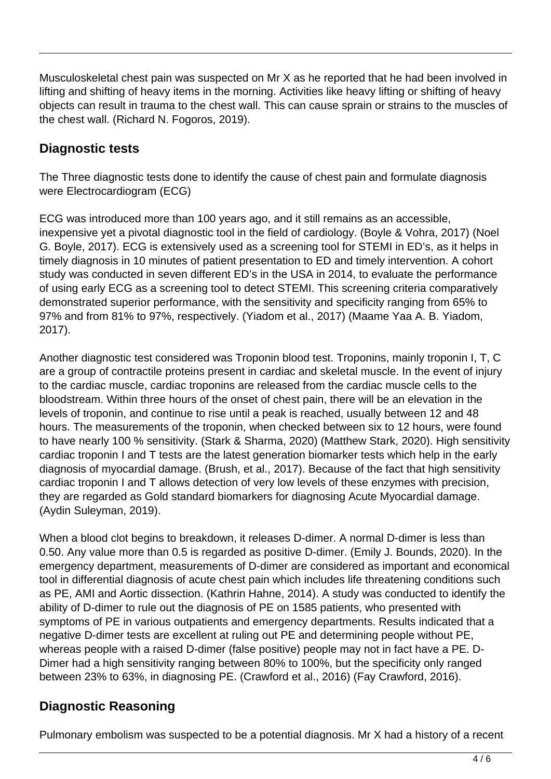Musculoskeletal chest pain was suspected on Mr X as he reported that he had been involved in lifting and shifting of heavy items in the morning. Activities like heavy lifting or shifting of heavy objects can result in trauma to the chest wall. This can cause sprain or strains to the muscles of the chest wall. (Richard N. Fogoros, 2019).

## **Diagnostic tests**

The Three diagnostic tests done to identify the cause of chest pain and formulate diagnosis were Electrocardiogram (ECG)

ECG was introduced more than 100 years ago, and it still remains as an accessible, inexpensive yet a pivotal diagnostic tool in the field of cardiology. (Boyle & Vohra, 2017) (Noel G. Boyle, 2017). ECG is extensively used as a screening tool for STEMI in ED's, as it helps in timely diagnosis in 10 minutes of patient presentation to ED and timely intervention. A cohort study was conducted in seven different ED's in the USA in 2014, to evaluate the performance of using early ECG as a screening tool to detect STEMI. This screening criteria comparatively demonstrated superior performance, with the sensitivity and specificity ranging from 65% to 97% and from 81% to 97%, respectively. (Yiadom et al., 2017) (Maame Yaa A. B. Yiadom, 2017).

Another diagnostic test considered was Troponin blood test. Troponins, mainly troponin I, T, C are a group of contractile proteins present in cardiac and skeletal muscle. In the event of injury to the cardiac muscle, cardiac troponins are released from the cardiac muscle cells to the bloodstream. Within three hours of the onset of chest pain, there will be an elevation in the levels of troponin, and continue to rise until a peak is reached, usually between 12 and 48 hours. The measurements of the troponin, when checked between six to 12 hours, were found to have nearly 100 % sensitivity. (Stark & Sharma, 2020) (Matthew Stark, 2020). High sensitivity cardiac troponin I and T tests are the latest generation biomarker tests which help in the early diagnosis of myocardial damage. (Brush, et al., 2017). Because of the fact that high sensitivity cardiac troponin I and T allows detection of very low levels of these enzymes with precision, they are regarded as Gold standard biomarkers for diagnosing Acute Myocardial damage. (Aydin Suleyman, 2019).

When a blood clot begins to breakdown, it releases D-dimer. A normal D-dimer is less than 0.50. Any value more than 0.5 is regarded as positive D-dimer. (Emily J. Bounds, 2020). In the emergency department, measurements of D-dimer are considered as important and economical tool in differential diagnosis of acute chest pain which includes life threatening conditions such as PE, AMI and Aortic dissection. (Kathrin Hahne, 2014). A study was conducted to identify the ability of D-dimer to rule out the diagnosis of PE on 1585 patients, who presented with symptoms of PE in various outpatients and emergency departments. Results indicated that a negative D-dimer tests are excellent at ruling out PE and determining people without PE, whereas people with a raised D-dimer (false positive) people may not in fact have a PE. D-Dimer had a high sensitivity ranging between 80% to 100%, but the specificity only ranged between 23% to 63%, in diagnosing PE. (Crawford et al., 2016) (Fay Crawford, 2016).

## **Diagnostic Reasoning**

Pulmonary embolism was suspected to be a potential diagnosis. Mr X had a history of a recent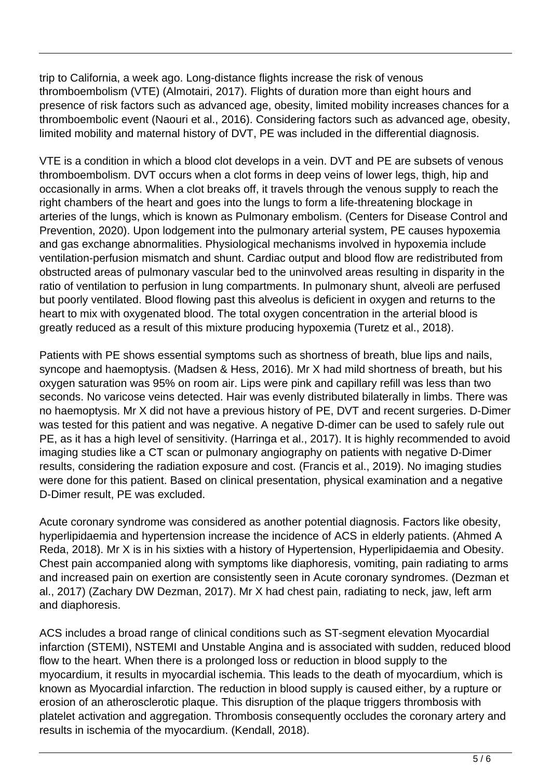trip to California, a week ago. Long-distance flights increase the risk of venous thromboembolism (VTE) (Almotairi, 2017). Flights of duration more than eight hours and presence of risk factors such as advanced age, obesity, limited mobility increases chances for a thromboembolic event (Naouri et al., 2016). Considering factors such as advanced age, obesity, limited mobility and maternal history of DVT, PE was included in the differential diagnosis.

VTE is a condition in which a blood clot develops in a vein. DVT and PE are subsets of venous thromboembolism. DVT occurs when a clot forms in deep veins of lower legs, thigh, hip and occasionally in arms. When a clot breaks off, it travels through the venous supply to reach the right chambers of the heart and goes into the lungs to form a life-threatening blockage in arteries of the lungs, which is known as Pulmonary embolism. (Centers for Disease Control and Prevention, 2020). Upon lodgement into the pulmonary arterial system, PE causes hypoxemia and gas exchange abnormalities. Physiological mechanisms involved in hypoxemia include ventilation-perfusion mismatch and shunt. Cardiac output and blood flow are redistributed from obstructed areas of pulmonary vascular bed to the uninvolved areas resulting in disparity in the ratio of ventilation to perfusion in lung compartments. In pulmonary shunt, alveoli are perfused but poorly ventilated. Blood flowing past this alveolus is deficient in oxygen and returns to the heart to mix with oxygenated blood. The total oxygen concentration in the arterial blood is greatly reduced as a result of this mixture producing hypoxemia (Turetz et al., 2018).

Patients with PE shows essential symptoms such as shortness of breath, blue lips and nails, syncope and haemoptysis. (Madsen & Hess, 2016). Mr X had mild shortness of breath, but his oxygen saturation was 95% on room air. Lips were pink and capillary refill was less than two seconds. No varicose veins detected. Hair was evenly distributed bilaterally in limbs. There was no haemoptysis. Mr X did not have a previous history of PE, DVT and recent surgeries. D-Dimer was tested for this patient and was negative. A negative D-dimer can be used to safely rule out PE, as it has a high level of sensitivity. (Harringa et al., 2017). It is highly recommended to avoid imaging studies like a CT scan or pulmonary angiography on patients with negative D-Dimer results, considering the radiation exposure and cost. (Francis et al., 2019). No imaging studies were done for this patient. Based on clinical presentation, physical examination and a negative D-Dimer result, PE was excluded.

Acute coronary syndrome was considered as another potential diagnosis. Factors like obesity, hyperlipidaemia and hypertension increase the incidence of ACS in elderly patients. (Ahmed A Reda, 2018). Mr X is in his sixties with a history of Hypertension, Hyperlipidaemia and Obesity. Chest pain accompanied along with symptoms like diaphoresis, vomiting, pain radiating to arms and increased pain on exertion are consistently seen in Acute coronary syndromes. (Dezman et al., 2017) (Zachary DW Dezman, 2017). Mr X had chest pain, radiating to neck, jaw, left arm and diaphoresis.

ACS includes a broad range of clinical conditions such as ST-segment elevation Myocardial infarction (STEMI), NSTEMI and Unstable Angina and is associated with sudden, reduced blood flow to the heart. When there is a prolonged loss or reduction in blood supply to the myocardium, it results in myocardial ischemia. This leads to the death of myocardium, which is known as Myocardial infarction. The reduction in blood supply is caused either, by a rupture or erosion of an atherosclerotic plaque. This disruption of the plaque triggers thrombosis with platelet activation and aggregation. Thrombosis consequently occludes the coronary artery and results in ischemia of the myocardium. (Kendall, 2018).